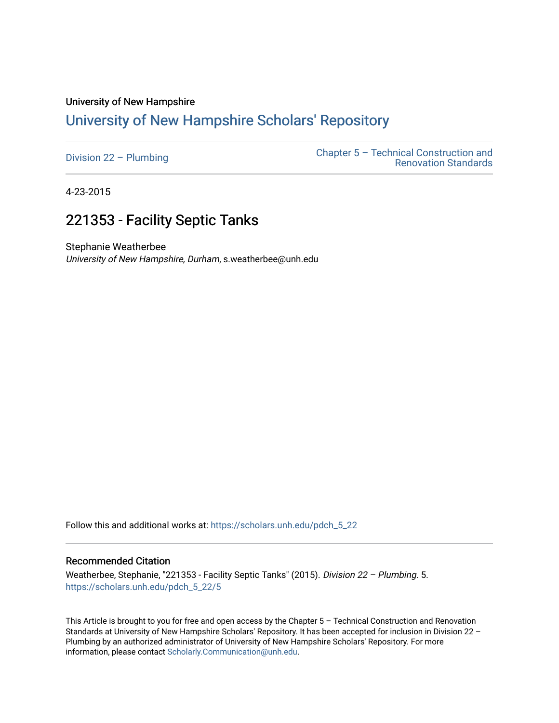### University of New Hampshire

## [University of New Hampshire Scholars' Repository](https://scholars.unh.edu/)

4-23-2015

# 221353 - Facility Septic Tanks

Stephanie Weatherbee University of New Hampshire, Durham, s.weatherbee@unh.edu

Follow this and additional works at: [https://scholars.unh.edu/pdch\\_5\\_22](https://scholars.unh.edu/pdch_5_22?utm_source=scholars.unh.edu%2Fpdch_5_22%2F5&utm_medium=PDF&utm_campaign=PDFCoverPages) 

#### Recommended Citation

Weatherbee, Stephanie, "221353 - Facility Septic Tanks" (2015). Division 22 - Plumbing. 5. [https://scholars.unh.edu/pdch\\_5\\_22/5](https://scholars.unh.edu/pdch_5_22/5?utm_source=scholars.unh.edu%2Fpdch_5_22%2F5&utm_medium=PDF&utm_campaign=PDFCoverPages)

This Article is brought to you for free and open access by the Chapter 5 – Technical Construction and Renovation Standards at University of New Hampshire Scholars' Repository. It has been accepted for inclusion in Division 22 – Plumbing by an authorized administrator of University of New Hampshire Scholars' Repository. For more information, please contact [Scholarly.Communication@unh.edu.](mailto:Scholarly.Communication@unh.edu)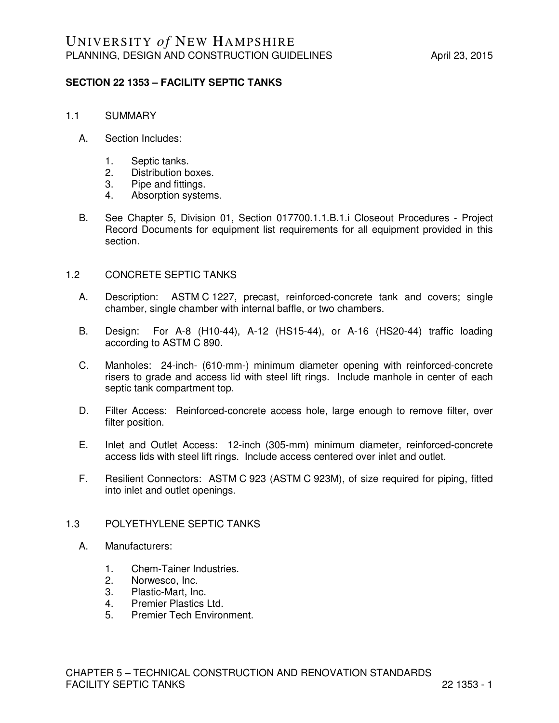### **SECTION 22 1353 – FACILITY SEPTIC TANKS**

- 1.1 SUMMARY
	- A. Section Includes:
		- 1. Septic tanks.
		- 2. Distribution boxes.
		- 3. Pipe and fittings.
		- 4. Absorption systems.
	- B. See Chapter 5, Division 01, Section 017700.1.1.B.1.i Closeout Procedures Project Record Documents for equipment list requirements for all equipment provided in this section.

### 1.2 CONCRETE SEPTIC TANKS

- A. Description: ASTM C 1227, precast, reinforced-concrete tank and covers; single chamber, single chamber with internal baffle, or two chambers.
- B. Design: For A-8 (H10-44), A-12 (HS15-44), or A-16 (HS20-44) traffic loading according to ASTM C 890.
- C. Manholes: 24-inch- (610-mm-) minimum diameter opening with reinforced-concrete risers to grade and access lid with steel lift rings. Include manhole in center of each septic tank compartment top.
- D. Filter Access: Reinforced-concrete access hole, large enough to remove filter, over filter position.
- E. Inlet and Outlet Access: 12-inch (305-mm) minimum diameter, reinforced-concrete access lids with steel lift rings. Include access centered over inlet and outlet.
- F. Resilient Connectors: ASTM C 923 (ASTM C 923M), of size required for piping, fitted into inlet and outlet openings.

### 1.3 POLYETHYLENE SEPTIC TANKS

- A. Manufacturers:
	- 1. Chem-Tainer Industries.
	- 2. Norwesco, Inc.
	- 3. Plastic-Mart, Inc.
	- 4. Premier Plastics Ltd.
	- 5. Premier Tech Environment.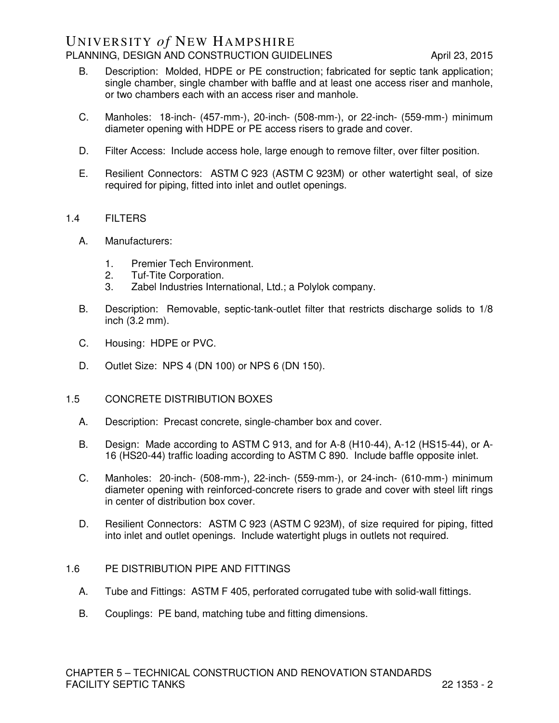### UNIVERSITY *of* NEW HAMPSHIRE PLANNING, DESIGN AND CONSTRUCTION GUIDELINES April 23, 2015

- B. Description: Molded, HDPE or PE construction; fabricated for septic tank application; single chamber, single chamber with baffle and at least one access riser and manhole, or two chambers each with an access riser and manhole.
- C. Manholes: 18-inch- (457-mm-), 20-inch- (508-mm-), or 22-inch- (559-mm-) minimum diameter opening with HDPE or PE access risers to grade and cover.
- D. Filter Access: Include access hole, large enough to remove filter, over filter position.
- E. Resilient Connectors: ASTM C 923 (ASTM C 923M) or other watertight seal, of size required for piping, fitted into inlet and outlet openings.

### 1.4 FILTERS

- A. Manufacturers:
	- 1. Premier Tech Environment.
	- 2. Tuf-Tite Corporation.
	- 3. Zabel Industries International, Ltd.; a Polylok company.
- B. Description: Removable, septic-tank-outlet filter that restricts discharge solids to 1/8 inch (3.2 mm).
- C. Housing: HDPE or PVC.
- D. Outlet Size: NPS 4 (DN 100) or NPS 6 (DN 150).
- 1.5 CONCRETE DISTRIBUTION BOXES
	- A. Description: Precast concrete, single-chamber box and cover.
	- B. Design: Made according to ASTM C 913, and for A-8 (H10-44), A-12 (HS15-44), or A-16 (HS20-44) traffic loading according to ASTM C 890. Include baffle opposite inlet.
	- C. Manholes: 20-inch- (508-mm-), 22-inch- (559-mm-), or 24-inch- (610-mm-) minimum diameter opening with reinforced-concrete risers to grade and cover with steel lift rings in center of distribution box cover.
	- D. Resilient Connectors: ASTM C 923 (ASTM C 923M), of size required for piping, fitted into inlet and outlet openings. Include watertight plugs in outlets not required.

### 1.6 PE DISTRIBUTION PIPE AND FITTINGS

- A. Tube and Fittings: ASTM F 405, perforated corrugated tube with solid-wall fittings.
- B. Couplings: PE band, matching tube and fitting dimensions.